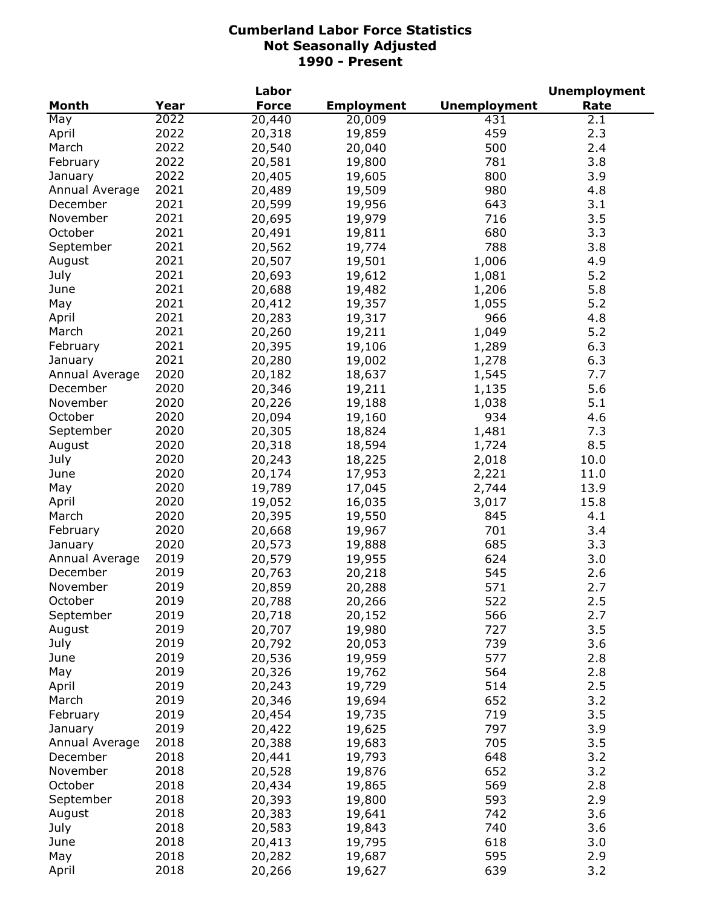|                |      | Labor        |                   |                     | <b>Unemployment</b> |
|----------------|------|--------------|-------------------|---------------------|---------------------|
| Month          | Year | <b>Force</b> | <b>Employment</b> | <b>Unemployment</b> | Rate                |
| May            | 2022 | 20,440       | 20,009            | 431                 | 2.1                 |
| April          | 2022 | 20,318       | 19,859            | 459                 | 2.3                 |
| March          | 2022 | 20,540       | 20,040            | 500                 | 2.4                 |
| February       | 2022 | 20,581       | 19,800            | 781                 | 3.8                 |
| January        | 2022 | 20,405       | 19,605            | 800                 | 3.9                 |
| Annual Average | 2021 | 20,489       | 19,509            | 980                 | 4.8                 |
| December       | 2021 | 20,599       | 19,956            | 643                 | 3.1                 |
| November       | 2021 | 20,695       | 19,979            | 716                 | 3.5                 |
| October        | 2021 | 20,491       | 19,811            | 680                 | 3.3                 |
| September      | 2021 | 20,562       | 19,774            | 788                 | 3.8                 |
| August         | 2021 | 20,507       | 19,501            | 1,006               | 4.9                 |
| July           | 2021 | 20,693       | 19,612            | 1,081               | 5.2                 |
| June           | 2021 | 20,688       | 19,482            | 1,206               | 5.8                 |
| May            | 2021 | 20,412       | 19,357            | 1,055               | 5.2                 |
| April          | 2021 | 20,283       | 19,317            | 966                 | 4.8                 |
| March          | 2021 | 20,260       | 19,211            | 1,049               | 5.2                 |
| February       | 2021 | 20,395       | 19,106            | 1,289               | 6.3                 |
| January        | 2021 | 20,280       | 19,002            | 1,278               | 6.3                 |
| Annual Average | 2020 | 20,182       | 18,637            | 1,545               | 7.7                 |
| December       | 2020 | 20,346       | 19,211            | 1,135               | 5.6                 |
| November       | 2020 | 20,226       | 19,188            | 1,038               | 5.1                 |
| October        | 2020 | 20,094       | 19,160            | 934                 | 4.6                 |
| September      | 2020 | 20,305       | 18,824            | 1,481               | 7.3                 |
| August         | 2020 | 20,318       | 18,594            | 1,724               | 8.5                 |
| July           | 2020 | 20,243       | 18,225            | 2,018               | 10.0                |
| June           | 2020 | 20,174       | 17,953            | 2,221               | 11.0                |
| May            | 2020 | 19,789       | 17,045            | 2,744               | 13.9                |
| April          | 2020 | 19,052       | 16,035            | 3,017               | 15.8                |
| March          | 2020 | 20,395       | 19,550            | 845                 | 4.1                 |
| February       | 2020 | 20,668       | 19,967            | 701                 | 3.4                 |
| January        | 2020 | 20,573       | 19,888            | 685                 | 3.3                 |
| Annual Average | 2019 | 20,579       | 19,955            | 624                 | 3.0                 |
| December       | 2019 | 20,763       | 20,218            | 545                 | 2.6                 |
| November       | 2019 | 20,859       | 20,288            | 571                 | 2.7                 |
| October        | 2019 | 20,788       | 20,266            | 522                 | 2.5                 |
| September      | 2019 | 20,718       | 20,152            | 566                 | 2.7                 |
| August         | 2019 | 20,707       | 19,980            | 727                 | 3.5                 |
| July           | 2019 | 20,792       | 20,053            | 739                 | 3.6                 |
| June           | 2019 | 20,536       | 19,959            | 577                 | 2.8                 |
| May            | 2019 | 20,326       | 19,762            | 564                 | 2.8                 |
| April          | 2019 | 20,243       | 19,729            | 514                 | 2.5                 |
| March          | 2019 | 20,346       | 19,694            | 652                 | 3.2                 |
| February       | 2019 | 20,454       | 19,735            | 719                 | 3.5                 |
| January        | 2019 | 20,422       | 19,625            | 797                 | 3.9                 |
| Annual Average | 2018 | 20,388       | 19,683            | 705                 | 3.5                 |
| December       | 2018 | 20,441       | 19,793            | 648                 | 3.2                 |
| November       | 2018 | 20,528       | 19,876            | 652                 | 3.2                 |
| October        | 2018 | 20,434       | 19,865            | 569                 | 2.8                 |
| September      | 2018 | 20,393       | 19,800            | 593                 | 2.9                 |
| August         | 2018 | 20,383       | 19,641            | 742                 | 3.6                 |
| July           | 2018 | 20,583       | 19,843            | 740                 | 3.6                 |
| June           | 2018 | 20,413       | 19,795            | 618                 | 3.0                 |
| May            | 2018 | 20,282       | 19,687            | 595                 | 2.9                 |
| April          | 2018 | 20,266       | 19,627            | 639                 | 3.2                 |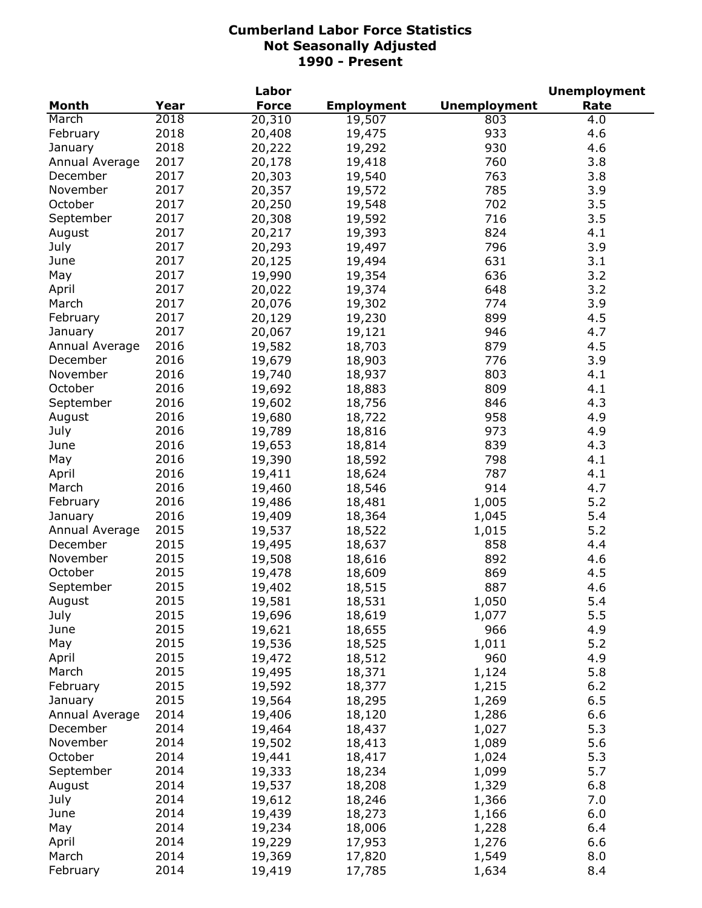| <b>Unemployment</b><br><b>Month</b><br>Year<br><b>Force</b><br><b>Employment</b><br>Rate<br>2018<br>20,310<br>March<br>19,507<br>803<br>4.0<br>2018<br>933<br>February<br>20,408<br>4.6<br>19,475<br>2018<br>930<br>4.6<br>20,222<br>19,292<br>January<br>2017<br>760<br>3.8<br>Annual Average<br>20,178<br>19,418<br>2017<br>763<br>December<br>20,303<br>19,540<br>3.8<br>2017<br>785<br>November<br>20,357<br>19,572<br>3.9<br>2017<br>October<br>702<br>3.5<br>20,250<br>19,548<br>2017<br>20,308<br>716<br>3.5<br>September<br>19,592<br>2017<br>19,393<br>824<br>20,217<br>4.1<br>August<br>3.9<br>July<br>2017<br>20,293<br>19,497<br>796<br>2017<br>20,125<br>19,494<br>631<br>3.1<br>June<br>2017<br>19,990<br>19,354<br>636<br>3.2<br>May<br>3.2<br>2017<br>20,022<br>19,374<br>648<br>April<br>3.9<br>2017<br>20,076<br>19,302<br>774<br>March<br>2017<br>20,129<br>19,230<br>899<br>4.5<br>February<br>2017<br>20,067<br>19,121<br>946<br>4.7<br>January<br>2016<br>19,582<br>18,703<br>879<br>4.5<br>Annual Average<br>2016<br>776<br>3.9<br>19,679<br>18,903<br>December |          |      | Labor  |        |     | <b>Unemployment</b> |
|----------------------------------------------------------------------------------------------------------------------------------------------------------------------------------------------------------------------------------------------------------------------------------------------------------------------------------------------------------------------------------------------------------------------------------------------------------------------------------------------------------------------------------------------------------------------------------------------------------------------------------------------------------------------------------------------------------------------------------------------------------------------------------------------------------------------------------------------------------------------------------------------------------------------------------------------------------------------------------------------------------------------------------------------------------------------------------------|----------|------|--------|--------|-----|---------------------|
|                                                                                                                                                                                                                                                                                                                                                                                                                                                                                                                                                                                                                                                                                                                                                                                                                                                                                                                                                                                                                                                                                        |          |      |        |        |     |                     |
|                                                                                                                                                                                                                                                                                                                                                                                                                                                                                                                                                                                                                                                                                                                                                                                                                                                                                                                                                                                                                                                                                        |          |      |        |        |     |                     |
|                                                                                                                                                                                                                                                                                                                                                                                                                                                                                                                                                                                                                                                                                                                                                                                                                                                                                                                                                                                                                                                                                        |          |      |        |        |     |                     |
|                                                                                                                                                                                                                                                                                                                                                                                                                                                                                                                                                                                                                                                                                                                                                                                                                                                                                                                                                                                                                                                                                        |          |      |        |        |     |                     |
|                                                                                                                                                                                                                                                                                                                                                                                                                                                                                                                                                                                                                                                                                                                                                                                                                                                                                                                                                                                                                                                                                        |          |      |        |        |     |                     |
|                                                                                                                                                                                                                                                                                                                                                                                                                                                                                                                                                                                                                                                                                                                                                                                                                                                                                                                                                                                                                                                                                        |          |      |        |        |     |                     |
|                                                                                                                                                                                                                                                                                                                                                                                                                                                                                                                                                                                                                                                                                                                                                                                                                                                                                                                                                                                                                                                                                        |          |      |        |        |     |                     |
|                                                                                                                                                                                                                                                                                                                                                                                                                                                                                                                                                                                                                                                                                                                                                                                                                                                                                                                                                                                                                                                                                        |          |      |        |        |     |                     |
|                                                                                                                                                                                                                                                                                                                                                                                                                                                                                                                                                                                                                                                                                                                                                                                                                                                                                                                                                                                                                                                                                        |          |      |        |        |     |                     |
|                                                                                                                                                                                                                                                                                                                                                                                                                                                                                                                                                                                                                                                                                                                                                                                                                                                                                                                                                                                                                                                                                        |          |      |        |        |     |                     |
|                                                                                                                                                                                                                                                                                                                                                                                                                                                                                                                                                                                                                                                                                                                                                                                                                                                                                                                                                                                                                                                                                        |          |      |        |        |     |                     |
|                                                                                                                                                                                                                                                                                                                                                                                                                                                                                                                                                                                                                                                                                                                                                                                                                                                                                                                                                                                                                                                                                        |          |      |        |        |     |                     |
|                                                                                                                                                                                                                                                                                                                                                                                                                                                                                                                                                                                                                                                                                                                                                                                                                                                                                                                                                                                                                                                                                        |          |      |        |        |     |                     |
|                                                                                                                                                                                                                                                                                                                                                                                                                                                                                                                                                                                                                                                                                                                                                                                                                                                                                                                                                                                                                                                                                        |          |      |        |        |     |                     |
|                                                                                                                                                                                                                                                                                                                                                                                                                                                                                                                                                                                                                                                                                                                                                                                                                                                                                                                                                                                                                                                                                        |          |      |        |        |     |                     |
|                                                                                                                                                                                                                                                                                                                                                                                                                                                                                                                                                                                                                                                                                                                                                                                                                                                                                                                                                                                                                                                                                        |          |      |        |        |     |                     |
|                                                                                                                                                                                                                                                                                                                                                                                                                                                                                                                                                                                                                                                                                                                                                                                                                                                                                                                                                                                                                                                                                        |          |      |        |        |     |                     |
|                                                                                                                                                                                                                                                                                                                                                                                                                                                                                                                                                                                                                                                                                                                                                                                                                                                                                                                                                                                                                                                                                        |          |      |        |        |     |                     |
|                                                                                                                                                                                                                                                                                                                                                                                                                                                                                                                                                                                                                                                                                                                                                                                                                                                                                                                                                                                                                                                                                        |          |      |        |        |     |                     |
|                                                                                                                                                                                                                                                                                                                                                                                                                                                                                                                                                                                                                                                                                                                                                                                                                                                                                                                                                                                                                                                                                        | November | 2016 | 19,740 | 18,937 | 803 | 4.1                 |
| 2016<br>October<br>19,692<br>809<br>4.1<br>18,883                                                                                                                                                                                                                                                                                                                                                                                                                                                                                                                                                                                                                                                                                                                                                                                                                                                                                                                                                                                                                                      |          |      |        |        |     |                     |
| 2016<br>19,602<br>846<br>4.3<br>September<br>18,756                                                                                                                                                                                                                                                                                                                                                                                                                                                                                                                                                                                                                                                                                                                                                                                                                                                                                                                                                                                                                                    |          |      |        |        |     |                     |
| 2016<br>958<br>4.9<br>August<br>19,680<br>18,722                                                                                                                                                                                                                                                                                                                                                                                                                                                                                                                                                                                                                                                                                                                                                                                                                                                                                                                                                                                                                                       |          |      |        |        |     |                     |
| 2016<br>973<br>4.9<br>July<br>19,789<br>18,816                                                                                                                                                                                                                                                                                                                                                                                                                                                                                                                                                                                                                                                                                                                                                                                                                                                                                                                                                                                                                                         |          |      |        |        |     |                     |
| 2016<br>19,653<br>839<br>4.3<br>June<br>18,814                                                                                                                                                                                                                                                                                                                                                                                                                                                                                                                                                                                                                                                                                                                                                                                                                                                                                                                                                                                                                                         |          |      |        |        |     |                     |
| 2016<br>19,390<br>798<br>4.1<br>May<br>18,592                                                                                                                                                                                                                                                                                                                                                                                                                                                                                                                                                                                                                                                                                                                                                                                                                                                                                                                                                                                                                                          |          |      |        |        |     |                     |
| 2016<br>19,411<br>787<br>4.1<br>April<br>18,624                                                                                                                                                                                                                                                                                                                                                                                                                                                                                                                                                                                                                                                                                                                                                                                                                                                                                                                                                                                                                                        |          |      |        |        |     |                     |
| 2016<br>19,460<br>18,546<br>914<br>4.7<br>March                                                                                                                                                                                                                                                                                                                                                                                                                                                                                                                                                                                                                                                                                                                                                                                                                                                                                                                                                                                                                                        |          |      |        |        |     |                     |
| 2016<br>5.2<br>19,486<br>18,481<br>1,005<br>February                                                                                                                                                                                                                                                                                                                                                                                                                                                                                                                                                                                                                                                                                                                                                                                                                                                                                                                                                                                                                                   |          |      |        |        |     |                     |
| 2016<br>19,409<br>1,045<br>5.4<br>18,364<br>January                                                                                                                                                                                                                                                                                                                                                                                                                                                                                                                                                                                                                                                                                                                                                                                                                                                                                                                                                                                                                                    |          |      |        |        |     |                     |
| 5.2<br>2015<br>19,537<br>18,522<br>Annual Average<br>1,015                                                                                                                                                                                                                                                                                                                                                                                                                                                                                                                                                                                                                                                                                                                                                                                                                                                                                                                                                                                                                             |          |      |        |        |     |                     |
| December<br>2015<br>19,495<br>858<br>4.4<br>18,637                                                                                                                                                                                                                                                                                                                                                                                                                                                                                                                                                                                                                                                                                                                                                                                                                                                                                                                                                                                                                                     |          |      |        |        |     |                     |
| November<br>2015<br>19,508<br>892<br>4.6<br>18,616                                                                                                                                                                                                                                                                                                                                                                                                                                                                                                                                                                                                                                                                                                                                                                                                                                                                                                                                                                                                                                     |          |      |        |        |     |                     |
| October<br>2015<br>869<br>4.5<br>19,478<br>18,609                                                                                                                                                                                                                                                                                                                                                                                                                                                                                                                                                                                                                                                                                                                                                                                                                                                                                                                                                                                                                                      |          |      |        |        |     |                     |
| 2015<br>September<br>887<br>4.6<br>19,402<br>18,515                                                                                                                                                                                                                                                                                                                                                                                                                                                                                                                                                                                                                                                                                                                                                                                                                                                                                                                                                                                                                                    |          |      |        |        |     |                     |
| 2015<br>5.4<br>1,050<br>August<br>19,581<br>18,531                                                                                                                                                                                                                                                                                                                                                                                                                                                                                                                                                                                                                                                                                                                                                                                                                                                                                                                                                                                                                                     |          |      |        |        |     |                     |
| 2015<br>5.5<br>July<br>19,696<br>18,619<br>1,077                                                                                                                                                                                                                                                                                                                                                                                                                                                                                                                                                                                                                                                                                                                                                                                                                                                                                                                                                                                                                                       |          |      |        |        |     |                     |
| 2015<br>4.9<br>June<br>19,621<br>18,655<br>966                                                                                                                                                                                                                                                                                                                                                                                                                                                                                                                                                                                                                                                                                                                                                                                                                                                                                                                                                                                                                                         |          |      |        |        |     |                     |
| 2015<br>5.2<br>May<br>19,536<br>18,525<br>1,011                                                                                                                                                                                                                                                                                                                                                                                                                                                                                                                                                                                                                                                                                                                                                                                                                                                                                                                                                                                                                                        |          |      |        |        |     |                     |
| 2015<br>4.9<br>19,472<br>18,512<br>960<br>April                                                                                                                                                                                                                                                                                                                                                                                                                                                                                                                                                                                                                                                                                                                                                                                                                                                                                                                                                                                                                                        |          |      |        |        |     |                     |
| 2015<br>5.8<br>March<br>19,495<br>18,371<br>1,124                                                                                                                                                                                                                                                                                                                                                                                                                                                                                                                                                                                                                                                                                                                                                                                                                                                                                                                                                                                                                                      |          |      |        |        |     |                     |
| 2015<br>$6.2$<br>February<br>19,592<br>18,377<br>1,215                                                                                                                                                                                                                                                                                                                                                                                                                                                                                                                                                                                                                                                                                                                                                                                                                                                                                                                                                                                                                                 |          |      |        |        |     |                     |
| 2015<br>6.5<br>19,564<br>18,295<br>1,269<br>January                                                                                                                                                                                                                                                                                                                                                                                                                                                                                                                                                                                                                                                                                                                                                                                                                                                                                                                                                                                                                                    |          |      |        |        |     |                     |
| 2014<br>19,406<br>6.6<br>Annual Average<br>18,120<br>1,286                                                                                                                                                                                                                                                                                                                                                                                                                                                                                                                                                                                                                                                                                                                                                                                                                                                                                                                                                                                                                             |          |      |        |        |     |                     |
| 2014<br>19,464<br>5.3<br>December<br>18,437<br>1,027                                                                                                                                                                                                                                                                                                                                                                                                                                                                                                                                                                                                                                                                                                                                                                                                                                                                                                                                                                                                                                   |          |      |        |        |     |                     |
| 2014<br>19,502<br>1,089<br>5.6<br>November<br>18,413                                                                                                                                                                                                                                                                                                                                                                                                                                                                                                                                                                                                                                                                                                                                                                                                                                                                                                                                                                                                                                   |          |      |        |        |     |                     |
| October<br>2014<br>19,441<br>1,024<br>5.3<br>18,417                                                                                                                                                                                                                                                                                                                                                                                                                                                                                                                                                                                                                                                                                                                                                                                                                                                                                                                                                                                                                                    |          |      |        |        |     |                     |
| 2014<br>19,333<br>1,099<br>5.7<br>September<br>18,234                                                                                                                                                                                                                                                                                                                                                                                                                                                                                                                                                                                                                                                                                                                                                                                                                                                                                                                                                                                                                                  |          |      |        |        |     |                     |
| 2014<br>19,537<br>6.8<br>August<br>18,208<br>1,329                                                                                                                                                                                                                                                                                                                                                                                                                                                                                                                                                                                                                                                                                                                                                                                                                                                                                                                                                                                                                                     |          |      |        |        |     |                     |
| July<br>2014<br>19,612<br>7.0<br>18,246<br>1,366                                                                                                                                                                                                                                                                                                                                                                                                                                                                                                                                                                                                                                                                                                                                                                                                                                                                                                                                                                                                                                       |          |      |        |        |     |                     |
| 2014<br>6.0<br>19,439<br>June<br>18,273<br>1,166                                                                                                                                                                                                                                                                                                                                                                                                                                                                                                                                                                                                                                                                                                                                                                                                                                                                                                                                                                                                                                       |          |      |        |        |     |                     |
| 2014<br>6.4<br>May<br>19,234<br>18,006<br>1,228                                                                                                                                                                                                                                                                                                                                                                                                                                                                                                                                                                                                                                                                                                                                                                                                                                                                                                                                                                                                                                        |          |      |        |        |     |                     |
| 2014<br>19,229<br>6.6<br>April<br>1,276<br>17,953                                                                                                                                                                                                                                                                                                                                                                                                                                                                                                                                                                                                                                                                                                                                                                                                                                                                                                                                                                                                                                      |          |      |        |        |     |                     |
| 2014<br>8.0<br>March<br>19,369<br>17,820<br>1,549                                                                                                                                                                                                                                                                                                                                                                                                                                                                                                                                                                                                                                                                                                                                                                                                                                                                                                                                                                                                                                      |          |      |        |        |     |                     |
| 2014<br>February<br>19,419<br>17,785<br>1,634<br>8.4                                                                                                                                                                                                                                                                                                                                                                                                                                                                                                                                                                                                                                                                                                                                                                                                                                                                                                                                                                                                                                   |          |      |        |        |     |                     |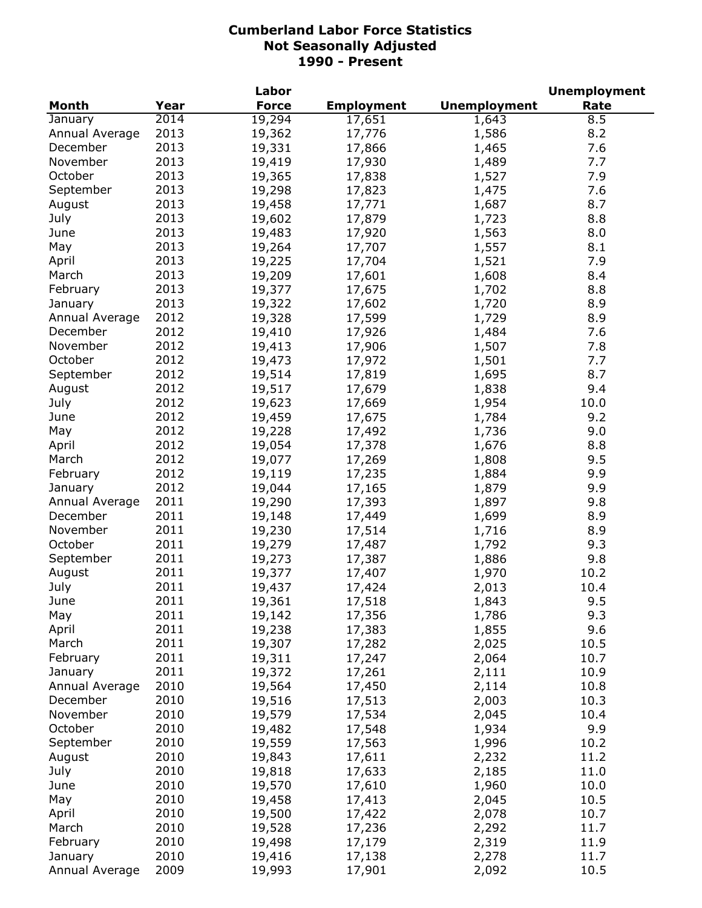|                |      | Labor        |                   |                     | <b>Unemployment</b> |
|----------------|------|--------------|-------------------|---------------------|---------------------|
| <b>Month</b>   | Year | <b>Force</b> | <b>Employment</b> | <b>Unemployment</b> | Rate                |
| January        | 2014 | 19,294       | 17,651            | 1,643               | 8.5                 |
| Annual Average | 2013 | 19,362       | 17,776            | 1,586               | 8.2                 |
| December       | 2013 | 19,331       | 17,866            | 1,465               | 7.6                 |
| November       | 2013 | 19,419       | 17,930            | 1,489               | 7.7                 |
| October        | 2013 | 19,365       | 17,838            | 1,527               | 7.9                 |
| September      | 2013 | 19,298       | 17,823            | 1,475               | 7.6                 |
| August         | 2013 | 19,458       | 17,771            | 1,687               | 8.7                 |
| July           | 2013 | 19,602       | 17,879            | 1,723               | 8.8                 |
| June           | 2013 | 19,483       | 17,920            | 1,563               | 8.0                 |
| May            | 2013 | 19,264       | 17,707            | 1,557               | 8.1                 |
| April          | 2013 | 19,225       | 17,704            | 1,521               | 7.9                 |
| March          | 2013 | 19,209       | 17,601            | 1,608               | 8.4                 |
| February       | 2013 | 19,377       | 17,675            | 1,702               | 8.8                 |
|                | 2013 | 19,322       |                   |                     | 8.9                 |
| January        |      |              | 17,602            | 1,720               |                     |
| Annual Average | 2012 | 19,328       | 17,599            | 1,729               | 8.9                 |
| December       | 2012 | 19,410       | 17,926            | 1,484               | 7.6                 |
| November       | 2012 | 19,413       | 17,906            | 1,507               | 7.8                 |
| October        | 2012 | 19,473       | 17,972            | 1,501               | 7.7                 |
| September      | 2012 | 19,514       | 17,819            | 1,695               | 8.7                 |
| August         | 2012 | 19,517       | 17,679            | 1,838               | 9.4                 |
| July           | 2012 | 19,623       | 17,669            | 1,954               | 10.0                |
| June           | 2012 | 19,459       | 17,675            | 1,784               | 9.2                 |
| May            | 2012 | 19,228       | 17,492            | 1,736               | 9.0                 |
| April          | 2012 | 19,054       | 17,378            | 1,676               | 8.8                 |
| March          | 2012 | 19,077       | 17,269            | 1,808               | 9.5                 |
| February       | 2012 | 19,119       | 17,235            | 1,884               | 9.9                 |
| January        | 2012 | 19,044       | 17,165            | 1,879               | 9.9                 |
| Annual Average | 2011 | 19,290       | 17,393            | 1,897               | 9.8                 |
| December       | 2011 | 19,148       | 17,449            | 1,699               | 8.9                 |
| November       | 2011 | 19,230       | 17,514            | 1,716               | 8.9                 |
| October        | 2011 | 19,279       | 17,487            | 1,792               | 9.3                 |
| September      | 2011 | 19,273       | 17,387            | 1,886               | 9.8                 |
| August         | 2011 | 19,377       | 17,407            | 1,970               | 10.2                |
| July           | 2011 | 19,437       | 17,424            | 2,013               | 10.4                |
| June           | 2011 | 19,361       | 17,518            | 1,843               | 9.5                 |
| May            | 2011 | 19,142       | 17,356            | 1,786               | 9.3                 |
| April          | 2011 | 19,238       | 17,383            | 1,855               | 9.6                 |
| March          | 2011 | 19,307       | 17,282            | 2,025               | 10.5                |
| February       | 2011 | 19,311       | 17,247            | 2,064               | 10.7                |
| January        | 2011 | 19,372       | 17,261            | 2,111               | 10.9                |
| Annual Average | 2010 | 19,564       | 17,450            | 2,114               | 10.8                |
| December       | 2010 | 19,516       | 17,513            | 2,003               | 10.3                |
| November       | 2010 | 19,579       | 17,534            | 2,045               | 10.4                |
| October        | 2010 | 19,482       | 17,548            | 1,934               | 9.9                 |
| September      | 2010 | 19,559       | 17,563            | 1,996               | 10.2                |
| August         | 2010 | 19,843       | 17,611            | 2,232               | 11.2                |
| July           | 2010 |              |                   |                     |                     |
|                |      | 19,818       | 17,633            | 2,185               | 11.0                |
| June           | 2010 | 19,570       | 17,610            | 1,960               | 10.0                |
| May            | 2010 | 19,458       | 17,413            | 2,045               | 10.5                |
| April          | 2010 | 19,500       | 17,422            | 2,078               | 10.7                |
| March          | 2010 | 19,528       | 17,236            | 2,292               | 11.7                |
| February       | 2010 | 19,498       | 17,179            | 2,319               | 11.9                |
| January        | 2010 | 19,416       | 17,138            | 2,278               | 11.7                |
| Annual Average | 2009 | 19,993       | 17,901            | 2,092               | 10.5                |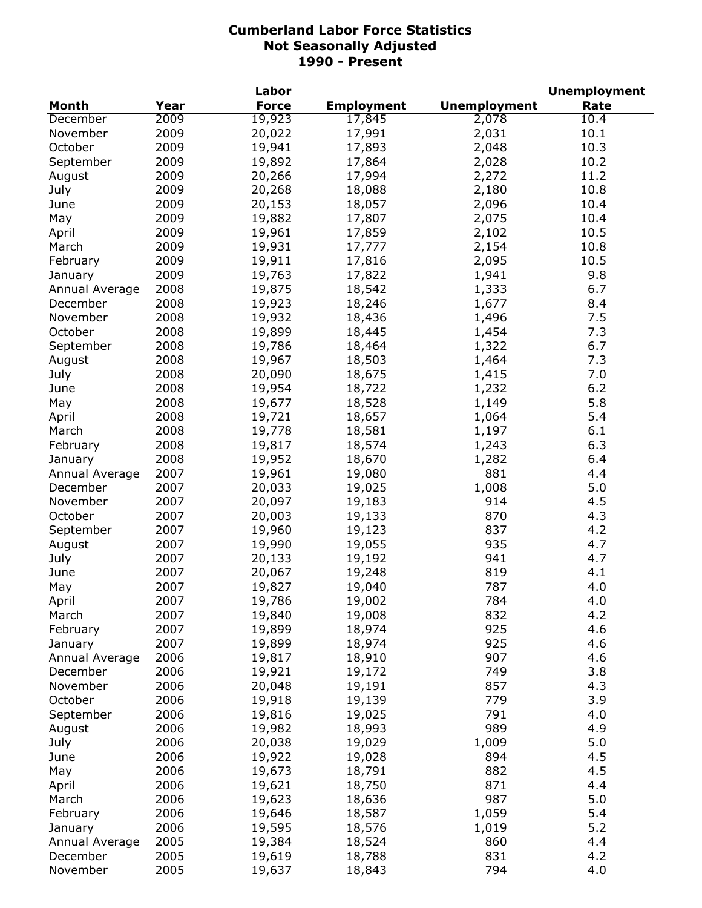|                |      | Labor        |                   |                     | <b>Unemployment</b> |
|----------------|------|--------------|-------------------|---------------------|---------------------|
| <b>Month</b>   | Year | <b>Force</b> | <b>Employment</b> | <b>Unemployment</b> | Rate                |
| December       | 2009 | 19,923       | 17,845            | 2,078               | 10.4                |
| November       | 2009 | 20,022       | 17,991            | 2,031               | 10.1                |
| October        | 2009 | 19,941       | 17,893            | 2,048               | 10.3                |
| September      | 2009 | 19,892       | 17,864            | 2,028               | 10.2                |
| August         | 2009 | 20,266       | 17,994            | 2,272               | 11.2                |
| July           | 2009 | 20,268       | 18,088            | 2,180               | 10.8                |
| June           | 2009 | 20,153       | 18,057            | 2,096               | 10.4                |
| May            | 2009 | 19,882       | 17,807            | 2,075               | 10.4                |
| April          | 2009 | 19,961       | 17,859            | 2,102               | 10.5                |
| March          | 2009 | 19,931       | 17,777            | 2,154               | 10.8                |
| February       | 2009 | 19,911       | 17,816            | 2,095               | 10.5                |
| January        | 2009 | 19,763       | 17,822            | 1,941               | 9.8                 |
| Annual Average | 2008 | 19,875       | 18,542            | 1,333               | 6.7                 |
| December       | 2008 | 19,923       | 18,246            | 1,677               | 8.4                 |
| November       | 2008 | 19,932       | 18,436            | 1,496               | 7.5                 |
| October        | 2008 | 19,899       | 18,445            | 1,454               | 7.3                 |
| September      | 2008 | 19,786       | 18,464            | 1,322               | 6.7                 |
| August         | 2008 | 19,967       | 18,503            | 1,464               | 7.3                 |
| July           | 2008 | 20,090       | 18,675            | 1,415               | 7.0                 |
| June           | 2008 | 19,954       | 18,722            | 1,232               | 6.2                 |
|                | 2008 |              |                   |                     | 5.8                 |
| May            |      | 19,677       | 18,528            | 1,149               |                     |
| April          | 2008 | 19,721       | 18,657            | 1,064               | 5.4                 |
| March          | 2008 | 19,778       | 18,581            | 1,197               | 6.1                 |
| February       | 2008 | 19,817       | 18,574            | 1,243               | 6.3                 |
| January        | 2008 | 19,952       | 18,670            | 1,282               | 6.4                 |
| Annual Average | 2007 | 19,961       | 19,080            | 881                 | 4.4                 |
| December       | 2007 | 20,033       | 19,025            | 1,008               | 5.0                 |
| November       | 2007 | 20,097       | 19,183            | 914                 | 4.5                 |
| October        | 2007 | 20,003       | 19,133            | 870                 | 4.3                 |
| September      | 2007 | 19,960       | 19,123            | 837                 | 4.2                 |
| August         | 2007 | 19,990       | 19,055            | 935                 | 4.7                 |
| July           | 2007 | 20,133       | 19,192            | 941                 | 4.7                 |
| June           | 2007 | 20,067       | 19,248            | 819                 | 4.1                 |
| May            | 2007 | 19,827       | 19,040            | 787                 | 4.0                 |
| April          | 2007 | 19,786       | 19,002            | 784                 | 4.0                 |
| March          | 2007 | 19,840       | 19,008            | 832                 | 4.2                 |
| February       | 2007 | 19,899       | 18,974            | 925                 | 4.6                 |
| January        | 2007 | 19,899       | 18,974            | 925                 | 4.6                 |
| Annual Average | 2006 | 19,817       | 18,910            | 907                 | 4.6                 |
| December       | 2006 | 19,921       | 19,172            | 749                 | 3.8                 |
| November       | 2006 | 20,048       | 19,191            | 857                 | 4.3                 |
| October        | 2006 | 19,918       | 19,139            | 779                 | 3.9                 |
| September      | 2006 | 19,816       | 19,025            | 791                 | 4.0                 |
| August         | 2006 | 19,982       | 18,993            | 989                 | 4.9                 |
| July           | 2006 | 20,038       | 19,029            | 1,009               | 5.0                 |
| June           | 2006 | 19,922       | 19,028            | 894                 | 4.5                 |
| May            | 2006 | 19,673       | 18,791            | 882                 | 4.5                 |
| April          | 2006 | 19,621       | 18,750            | 871                 | 4.4                 |
|                | 2006 |              |                   | 987                 | 5.0                 |
| March          | 2006 | 19,623       | 18,636            |                     | 5.4                 |
| February       |      | 19,646       | 18,587            | 1,059               |                     |
| January        | 2006 | 19,595       | 18,576            | 1,019               | 5.2                 |
| Annual Average | 2005 | 19,384       | 18,524            | 860                 | 4.4                 |
| December       | 2005 | 19,619       | 18,788            | 831                 | 4.2                 |
| November       | 2005 | 19,637       | 18,843            | 794                 | 4.0                 |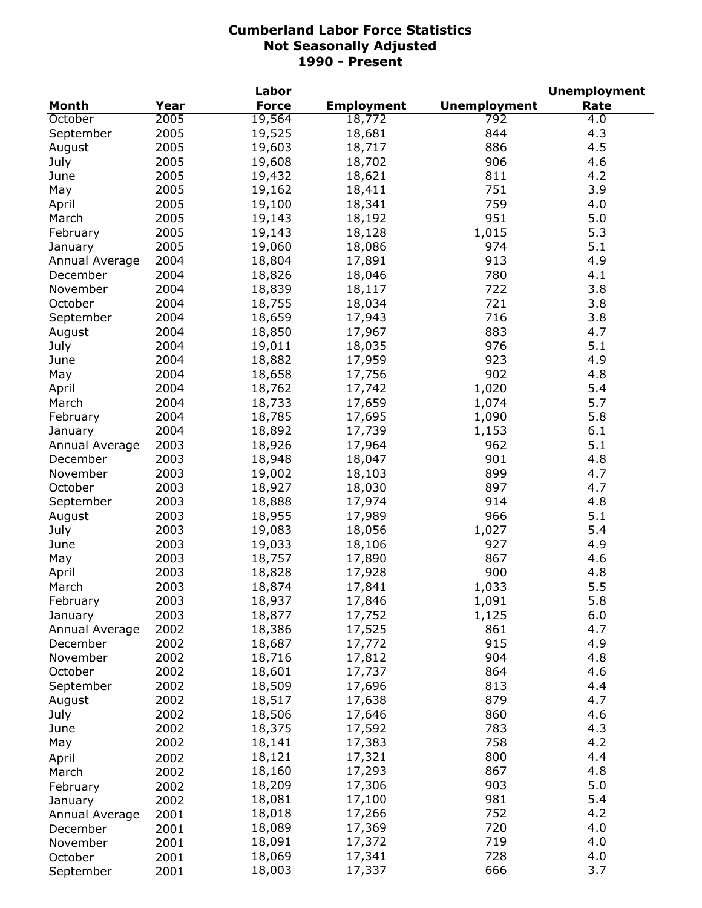|                |      | Labor            |                   |                     | <b>Unemployment</b> |
|----------------|------|------------------|-------------------|---------------------|---------------------|
| <b>Month</b>   | Year | <b>Force</b>     | <b>Employment</b> | <b>Unemployment</b> | Rate                |
| October        | 2005 | 19,564           | 18,772            | 792                 | 4.0                 |
| September      | 2005 | 19,525           | 18,681            | 844                 | 4.3                 |
| August         | 2005 | 19,603           | 18,717            | 886                 | 4.5                 |
| July           | 2005 | 19,608           | 18,702            | 906                 | 4.6                 |
| June           | 2005 | 19,432           | 18,621            | 811                 | 4.2                 |
| May            | 2005 | 19,162           | 18,411            | 751                 | 3.9                 |
| April          | 2005 | 19,100           | 18,341            | 759                 | 4.0                 |
| March          | 2005 | 19,143           | 18,192            | 951                 | 5.0                 |
| February       | 2005 | 19,143           | 18,128            | 1,015               | 5.3                 |
| January        | 2005 | 19,060           | 18,086            | 974                 | 5.1                 |
| Annual Average | 2004 | 18,804           | 17,891            | 913                 | 4.9                 |
| December       | 2004 | 18,826           | 18,046            | 780                 | 4.1                 |
| November       | 2004 | 18,839           | 18,117            | 722                 | 3.8                 |
| October        | 2004 | 18,755           | 18,034            | 721                 | 3.8                 |
| September      | 2004 | 18,659           | 17,943            | 716                 | 3.8                 |
| August         | 2004 | 18,850           | 17,967            | 883                 | 4.7                 |
| July           | 2004 | 19,011           | 18,035            | 976                 | 5.1                 |
| June           | 2004 | 18,882           | 17,959            | 923                 | 4.9                 |
| May            | 2004 | 18,658           | 17,756            | 902                 | 4.8                 |
| April          | 2004 | 18,762           | 17,742            | 1,020               | 5.4                 |
| March          | 2004 | 18,733           | 17,659            | 1,074               | 5.7                 |
| February       | 2004 | 18,785           | 17,695            | 1,090               | 5.8                 |
| January        | 2004 | 18,892           | 17,739            | 1,153               | 6.1                 |
| Annual Average | 2003 | 18,926           | 17,964            | 962                 | 5.1                 |
| December       | 2003 | 18,948           | 18,047            | 901                 | 4.8                 |
| November       | 2003 | 19,002           | 18,103            | 899                 | 4.7                 |
| October        | 2003 | 18,927           | 18,030            | 897                 | 4.7                 |
| September      | 2003 | 18,888           | 17,974            | 914                 | 4.8                 |
| August         | 2003 | 18,955           | 17,989            | 966                 | 5.1                 |
| July           | 2003 | 19,083           | 18,056            | 1,027               | 5.4                 |
| June           | 2003 | 19,033           | 18,106            | 927                 | 4.9                 |
| May            | 2003 | 18,757           | 17,890            | 867                 | 4.6                 |
| April          | 2003 | 18,828           | 17,928            | 900                 | 4.8                 |
| March          | 2003 | 18,874           | 17,841            | 1,033               | 5.5                 |
| February       | 2003 |                  |                   |                     | 5.8                 |
| January        | 2003 | 18,937<br>18,877 | 17,846<br>17,752  | 1,091<br>1,125      | 6.0                 |
| Annual Average | 2002 | 18,386           | 17,525            | 861                 | 4.7                 |
| December       | 2002 | 18,687           | 17,772            | 915                 | 4.9                 |
| November       | 2002 | 18,716           | 17,812            | 904                 | 4.8                 |
| October        | 2002 | 18,601           | 17,737            | 864                 | 4.6                 |
| September      | 2002 | 18,509           | 17,696            | 813                 | 4.4                 |
| August         | 2002 | 18,517           | 17,638            | 879                 | 4.7                 |
| July           | 2002 | 18,506           | 17,646            | 860                 | 4.6                 |
| June           | 2002 | 18,375           | 17,592            | 783                 | 4.3                 |
|                | 2002 | 18,141           |                   | 758                 | 4.2                 |
| May            |      | 18,121           | 17,383            | 800                 | 4.4                 |
| April          | 2002 |                  | 17,321            | 867                 | 4.8                 |
| March          | 2002 | 18,160<br>18,209 | 17,293            | 903                 | 5.0                 |
| February       | 2002 |                  | 17,306            | 981                 | 5.4                 |
| January        | 2002 | 18,081<br>18,018 | 17,100            | 752                 | 4.2                 |
| Annual Average | 2001 | 18,089           | 17,266            | 720                 | 4.0                 |
| December       | 2001 | 18,091           | 17,369            | 719                 | 4.0                 |
| November       | 2001 | 18,069           | 17,372<br>17,341  | 728                 | 4.0                 |
| October        | 2001 | 18,003           | 17,337            | 666                 | 3.7                 |
| September      | 2001 |                  |                   |                     |                     |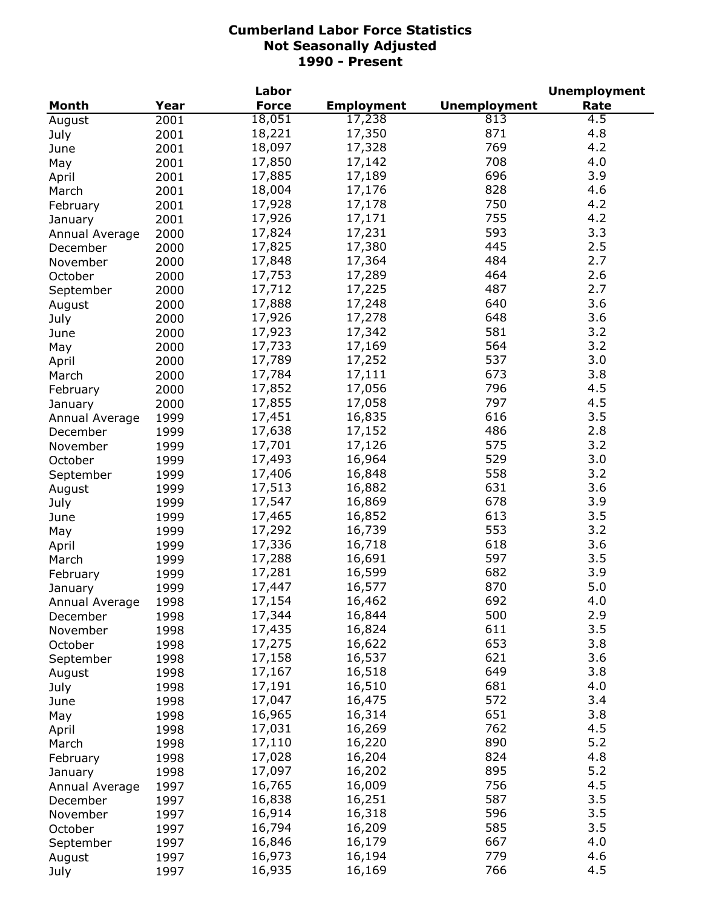|                |              | Labor        |                   |                     | <b>Unemployment</b> |
|----------------|--------------|--------------|-------------------|---------------------|---------------------|
| <b>Month</b>   | Year         | <b>Force</b> | <b>Employment</b> | <b>Unemployment</b> | Rate                |
| August         | 2001         | 18,051       | 17,238            | 813                 | $\overline{4.5}$    |
| July           | 2001         | 18,221       | 17,350            | 871                 | 4.8                 |
| June           | 2001         | 18,097       | 17,328            | 769                 | 4.2                 |
| May            | 2001         | 17,850       | 17,142            | 708                 | 4.0                 |
| April          | 2001         | 17,885       | 17,189            | 696                 | 3.9                 |
| March          | 2001         | 18,004       | 17,176            | 828                 | 4.6                 |
| February       | 2001         | 17,928       | 17,178            | 750                 | 4.2                 |
| January        | 2001         | 17,926       | 17,171            | 755                 | 4.2                 |
| Annual Average | 2000         | 17,824       | 17,231            | 593                 | 3.3                 |
|                | 2000         | 17,825       | 17,380            | 445                 | 2.5                 |
| December       |              | 17,848       | 17,364            | 484                 | 2.7                 |
| November       | 2000         | 17,753       | 17,289            | 464                 | 2.6                 |
| October        | 2000         |              |                   | 487                 | 2.7                 |
| September      | 2000         | 17,712       | 17,225            |                     |                     |
| August         | 2000         | 17,888       | 17,248            | 640                 | 3.6                 |
| July           | 2000         | 17,926       | 17,278            | 648                 | 3.6                 |
| June           | 2000         | 17,923       | 17,342            | 581                 | 3.2                 |
| May            | 2000         | 17,733       | 17,169            | 564                 | 3.2                 |
| April          | 2000         | 17,789       | 17,252            | 537                 | 3.0                 |
| March          | 2000         | 17,784       | 17,111            | 673                 | 3.8                 |
| February       | 2000         | 17,852       | 17,056            | 796                 | 4.5                 |
| January        | 2000         | 17,855       | 17,058            | 797                 | 4.5                 |
| Annual Average | 1999         | 17,451       | 16,835            | 616                 | 3.5                 |
| December       | 1999         | 17,638       | 17,152            | 486                 | 2.8                 |
| November       | 1999         | 17,701       | 17,126            | 575                 | 3.2                 |
| October        | 1999         | 17,493       | 16,964            | 529                 | 3.0                 |
| September      | 1999         | 17,406       | 16,848            | 558                 | 3.2                 |
| August         | 1999         | 17,513       | 16,882            | 631                 | 3.6                 |
| July           | 1999         | 17,547       | 16,869            | 678                 | 3.9                 |
| June           | 1999         | 17,465       | 16,852            | 613                 | 3.5                 |
| May            | 1999         | 17,292       | 16,739            | 553                 | 3.2                 |
| April          | 1999         | 17,336       | 16,718            | 618                 | 3.6                 |
| March          | 1999         | 17,288       | 16,691            | 597                 | 3.5                 |
| February       | 1999         | 17,281       | 16,599            | 682                 | 3.9                 |
| January        | 1999         | 17,447       | 16,577            | 870                 | 5.0                 |
| Annual Average | 1998         | 17,154       | 16,462            | 692                 | 4.0                 |
| December       | 1998         | 17,344       | 16,844            | 500                 | 2.9                 |
| November       |              | 17,435       | 16,824            | 611                 | 3.5                 |
| October        | 1998<br>1998 | 17,275       | 16,622            | 653                 | 3.8                 |
|                |              | 17,158       | 16,537            | 621                 | 3.6                 |
| September      | 1998         | 17,167       |                   | 649                 | 3.8                 |
| August         | 1998         |              | 16,518            | 681                 | 4.0                 |
| July           | 1998         | 17,191       | 16,510            |                     |                     |
| June           | 1998         | 17,047       | 16,475            | 572                 | 3.4                 |
| May            | 1998         | 16,965       | 16,314            | 651                 | 3.8                 |
| April          | 1998         | 17,031       | 16,269            | 762                 | 4.5                 |
| March          | 1998         | 17,110       | 16,220            | 890                 | 5.2                 |
| February       | 1998         | 17,028       | 16,204            | 824                 | 4.8                 |
| January        | 1998         | 17,097       | 16,202            | 895                 | 5.2                 |
| Annual Average | 1997         | 16,765       | 16,009            | 756                 | 4.5                 |
| December       | 1997         | 16,838       | 16,251            | 587                 | 3.5                 |
| November       | 1997         | 16,914       | 16,318            | 596                 | 3.5                 |
| October        | 1997         | 16,794       | 16,209            | 585                 | 3.5                 |
| September      | 1997         | 16,846       | 16,179            | 667                 | 4.0                 |
| August         | 1997         | 16,973       | 16,194            | 779                 | 4.6                 |
| July           | 1997         | 16,935       | 16,169            | 766                 | 4.5                 |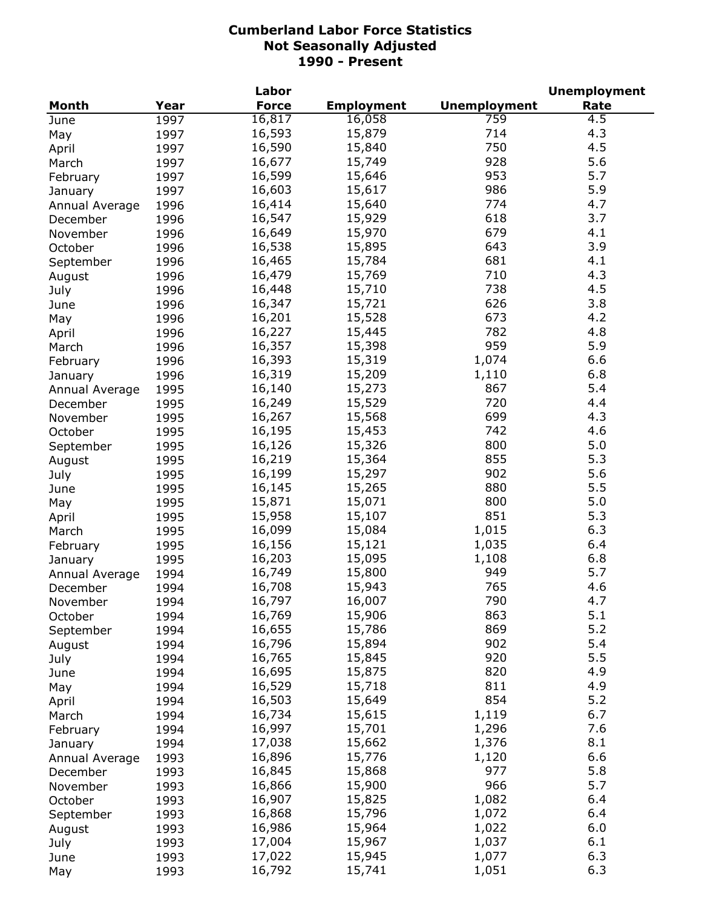|                |      | Labor        |                   |                     | <b>Unemployment</b> |
|----------------|------|--------------|-------------------|---------------------|---------------------|
| <b>Month</b>   | Year | <b>Force</b> | <b>Employment</b> | <b>Unemployment</b> | Rate                |
| June           | 1997 | 16,817       | 16,058            | 759                 | 4.5                 |
| May            | 1997 | 16,593       | 15,879            | 714                 | 4.3                 |
| April          | 1997 | 16,590       | 15,840            | 750                 | 4.5                 |
| March          | 1997 | 16,677       | 15,749            | 928                 | 5.6                 |
| February       | 1997 | 16,599       | 15,646            | 953                 | 5.7                 |
| January        | 1997 | 16,603       | 15,617            | 986                 | 5.9                 |
| Annual Average | 1996 | 16,414       | 15,640            | 774                 | 4.7                 |
| December       | 1996 | 16,547       | 15,929            | 618                 | 3.7                 |
| November       | 1996 | 16,649       | 15,970            | 679                 | 4.1                 |
| October        | 1996 | 16,538       | 15,895            | 643                 | 3.9                 |
|                | 1996 | 16,465       | 15,784            | 681                 | 4.1                 |
| September      |      | 16,479       | 15,769            | 710                 | 4.3                 |
| August         | 1996 |              |                   | 738                 | 4.5                 |
| July           | 1996 | 16,448       | 15,710            |                     |                     |
| June           | 1996 | 16,347       | 15,721            | 626                 | 3.8                 |
| May            | 1996 | 16,201       | 15,528            | 673                 | 4.2                 |
| April          | 1996 | 16,227       | 15,445            | 782                 | 4.8                 |
| March          | 1996 | 16,357       | 15,398            | 959                 | 5.9                 |
| February       | 1996 | 16,393       | 15,319            | 1,074               | 6.6                 |
| January        | 1996 | 16,319       | 15,209            | 1,110               | 6.8                 |
| Annual Average | 1995 | 16,140       | 15,273            | 867                 | 5.4                 |
| December       | 1995 | 16,249       | 15,529            | 720                 | 4.4                 |
| November       | 1995 | 16,267       | 15,568            | 699                 | 4.3                 |
| October        | 1995 | 16,195       | 15,453            | 742                 | 4.6                 |
| September      | 1995 | 16,126       | 15,326            | 800                 | 5.0                 |
| August         | 1995 | 16,219       | 15,364            | 855                 | 5.3                 |
| July           | 1995 | 16,199       | 15,297            | 902                 | 5.6                 |
| June           | 1995 | 16,145       | 15,265            | 880                 | 5.5                 |
| May            | 1995 | 15,871       | 15,071            | 800                 | 5.0                 |
| April          | 1995 | 15,958       | 15,107            | 851                 | 5.3                 |
| March          | 1995 | 16,099       | 15,084            | 1,015               | 6.3                 |
| February       | 1995 | 16,156       | 15,121            | 1,035               | 6.4                 |
| January        | 1995 | 16,203       | 15,095            | 1,108               | 6.8                 |
| Annual Average | 1994 | 16,749       | 15,800            | 949                 | 5.7                 |
| December       | 1994 | 16,708       | 15,943            | 765                 | 4.6                 |
| November       | 1994 | 16,797       | 16,007            | 790                 | 4.7                 |
| October        | 1994 | 16,769       | 15,906            | 863                 | 5.1                 |
| September      | 1994 | 16,655       | 15,786            | 869                 | 5.2                 |
| August         | 1994 | 16,796       | 15,894            | 902                 | 5.4                 |
| July           | 1994 | 16,765       | 15,845            | 920                 | 5.5                 |
|                | 1994 | 16,695       | 15,875            | 820                 | 4.9                 |
| June           |      | 16,529       | 15,718            | 811                 | 4.9                 |
| May            | 1994 | 16,503       | 15,649            | 854                 | 5.2                 |
| April          | 1994 |              |                   |                     | 6.7                 |
| March          | 1994 | 16,734       | 15,615            | 1,119               |                     |
| February       | 1994 | 16,997       | 15,701            | 1,296               | 7.6                 |
| January        | 1994 | 17,038       | 15,662            | 1,376               | 8.1                 |
| Annual Average | 1993 | 16,896       | 15,776            | 1,120               | 6.6                 |
| December       | 1993 | 16,845       | 15,868            | 977                 | 5.8                 |
| November       | 1993 | 16,866       | 15,900            | 966                 | 5.7                 |
| October        | 1993 | 16,907       | 15,825            | 1,082               | 6.4                 |
| September      | 1993 | 16,868       | 15,796            | 1,072               | 6.4                 |
| August         | 1993 | 16,986       | 15,964            | 1,022               | 6.0                 |
| July           | 1993 | 17,004       | 15,967            | 1,037               | 6.1                 |
| June           | 1993 | 17,022       | 15,945            | 1,077               | 6.3                 |
| May            | 1993 | 16,792       | 15,741            | 1,051               | 6.3                 |